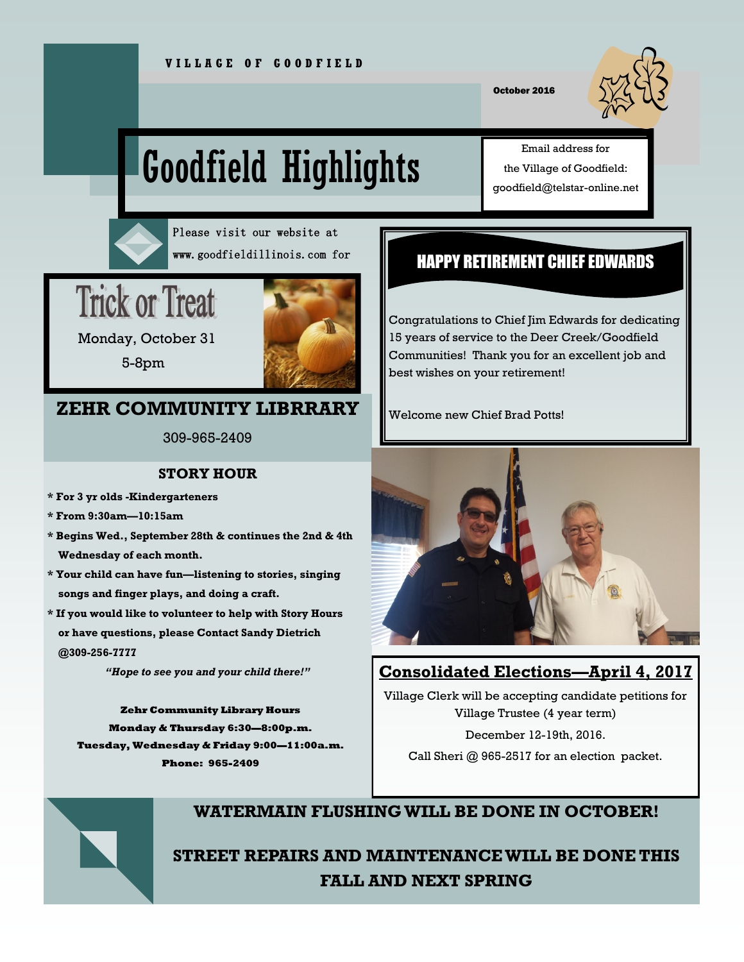October 2016

# Goodfield Highlights

Email address for the Village of Goodfield: goodfield@telstar-online.net



Please visit our website at www.goodfieldillinois.com for

## **Trick or Treat**



 Monday, October 31 5-8pm

## **ZEHR COMMUNITY LIBRRARY**

309-965-2409

#### **STORY HOUR**

- **\* For 3 yr olds -Kindergarteners**
- **\* From 9:30am—10:15am**
- **\* Begins Wed., September 28th & continues the 2nd & 4th Wednesday of each month.**
- **\* Your child can have fun—listening to stories, singing songs and finger plays, and doing a craft.**
- **\* If you would like to volunteer to help with Story Hours or have questions, please Contact Sandy Dietrich @309-256-7777**

*"Hope to see you and your child there!"* 

**Zehr Community Library Hours Monday & Thursday 6:30—8:00p.m. Tuesday, Wednesday & Friday 9:00—11:00a.m. Phone: 965-2409**

## HAPPY RETIREMENT CHIEF EDWARDS

Congratulations to Chief Jim Edwards for dedicating 15 years of service to the Deer Creek/Goodfield Communities! Thank you for an excellent job and best wishes on your retirement!

Welcome new Chief Brad Potts!



## **Consolidated Elections—April 4, 2017**

Village Clerk will be accepting candidate petitions for Village Trustee (4 year term)

December 12-19th, 2016.

Call Sheri @ 965-2517 for an election packet.



## **WATERMAIN FLUSHING WILL BE DONE IN OCTOBER!**

**STREET REPAIRS AND MAINTENANCE WILL BE DONE THIS FALL AND NEXT SPRING**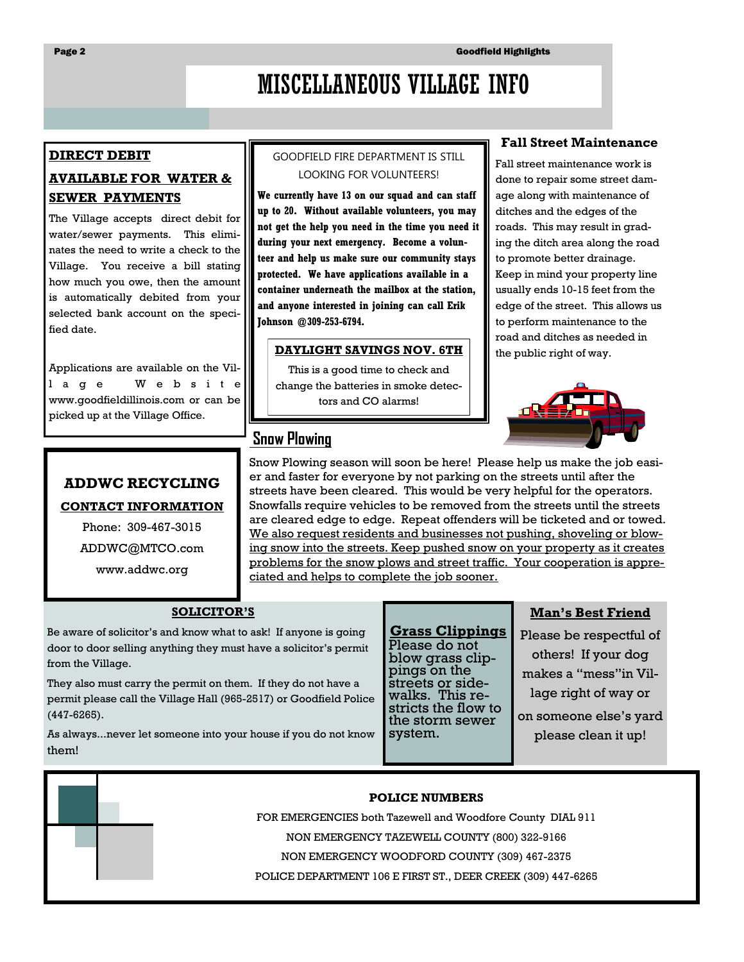## MISCELLANEOUS VILLAGE INFO

#### **DIRECT DEBIT**

#### **AVAILABLE FOR WATER & SEWER PAYMENTS**

The Village accepts direct debit for water/sewer payments. This eliminates the need to write a check to the Village. You receive a bill stating how much you owe, then the amount is automatically debited from your selected bank account on the specified date.

Applications are available on the Vill a g e W e b s i t e www.goodfieldillinois.com or can be picked up at the Village Office.

#### GOODFIELD FIRE DEPARTMENT IS STILL LOOKING FOR VOLUNTEERS!

**We currently have 13 on our squad and can staff up to 20. Without available volunteers, you may not get the help you need in the time you need it during your next emergency. Become a volunteer and help us make sure our community stays protected. We have applications available in a container underneath the mailbox at the station, and anyone interested in joining can call Erik Johnson @309-253-6794.**

#### **DAYLIGHT SAVINGS NOV. 6TH**

This is a good time to check and change the batteries in smoke detectors and CO alarms!

## **Snow Plowing**

#### **Fall Street Maintenance**

Fall street maintenance work is done to repair some street damage along with maintenance of ditches and the edges of the roads. This may result in grading the ditch area along the road to promote better drainage. Keep in mind your property line usually ends 10-15 feet from the edge of the street. This allows us to perform maintenance to the road and ditches as needed in the public right of way.



#### **ADDWC RECYCLING**

#### **CONTACT INFORMATION**

Phone: 309-467-3015

ADDWC@MTCO.com

www.addwc.org

Snow Plowing season will soon be here! Please help us make the job easier and faster for everyone by not parking on the streets until after the streets have been cleared. This would be very helpful for the operators. Snowfalls require vehicles to be removed from the streets until the streets are cleared edge to edge. Repeat offenders will be ticketed and or towed. We also request residents and businesses not pushing, shoveling or blowing snow into the streets. Keep pushed snow on your property as it creates problems for the snow plows and street traffic. Your cooperation is appreciated and helps to complete the job sooner.

#### **SOLICITOR'S**

Be aware of solicitor's and know what to ask! If anyone is going door to door selling anything they must have a solicitor's permit from the Village.

They also must carry the permit on them. If they do not have a permit please call the Village Hall (965-2517) or Goodfield Police (447-6265).

As always...never let someone into your house if you do not know them!

**Grass Clippings** Please do not blow grass clippings on the streets or sidewalks. This restricts the flow to the storm sewer system.

#### **Man's Best Friend**

Please be respectful of others! If your dog makes a "mess"in Village right of way or on someone else's yard please clean it up!

#### **POLICE NUMBERS**

FOR EMERGENCIES both Tazewell and Woodfore County DIAL 911

NON EMERGENCY TAZEWELL COUNTY (800) 322-9166

NON EMERGENCY WOODFORD COUNTY (309) 467-2375

POLICE DEPARTMENT 106 E FIRST ST., DEER CREEK (309) 447-6265